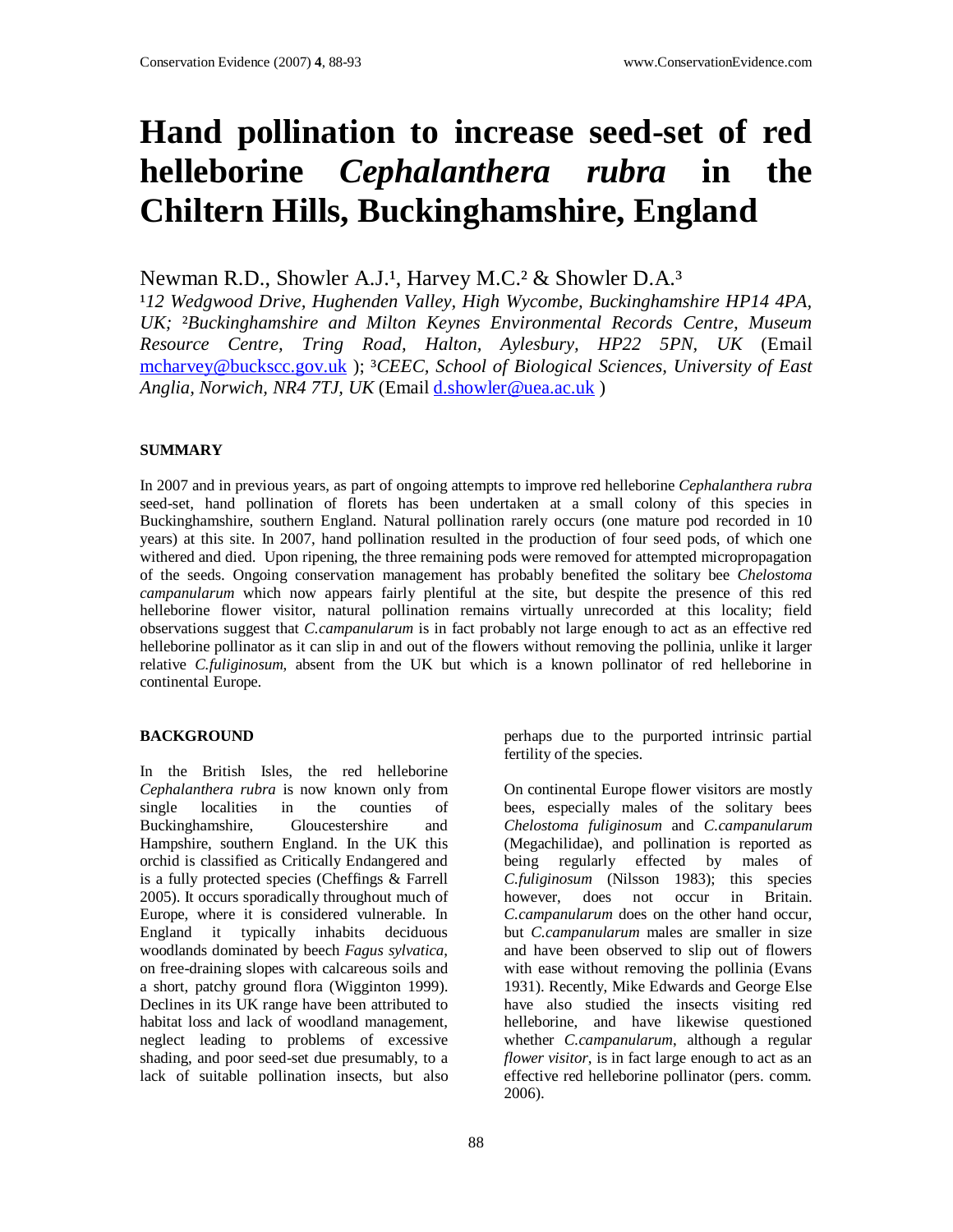# **Hand pollination to increase seed-set of red helleborine** *Cephalanthera rubra* **in the Chiltern Hills, Buckinghamshire, England**

Newman R.D., Showler A.J.<sup>1</sup>, Harvey M.C.<sup>2</sup> & Showler D.A.<sup>3</sup>

<sup>1</sup>12 Wedgwood Drive, Hughenden Valley, High Wycombe, Buckinghamshire HP14 4PA, *UK;* ²*Buckinghamshire and Milton Keynes Environmental Records Centre, Museum Resource Centre, Tring Road, Halton, Aylesbury, HP22 5PN, UK* (Email mcharvey@buckscc.gov.uk ); ³*CEEC, School of Biological Sciences, University of East Anglia, Norwich, NR4 7TJ, UK* (Email d.showler@uea.ac.uk )

## **SUMMARY**

In 2007 and in previous years, as part of ongoing attempts to improve red helleborine *Cephalanthera rubra* seed-set, hand pollination of florets has been undertaken at a small colony of this species in Buckinghamshire, southern England. Natural pollination rarely occurs (one mature pod recorded in 10 years) at this site. In 2007, hand pollination resulted in the production of four seed pods, of which one withered and died. Upon ripening, the three remaining pods were removed for attempted micropropagation of the seeds. Ongoing conservation management has probably benefited the solitary bee *Chelostoma campanularum* which now appears fairly plentiful at the site, but despite the presence of this red helleborine flower visitor, natural pollination remains virtually unrecorded at this locality; field observations suggest that *C.campanularum* is in fact probably not large enough to act as an effective red helleborine pollinator as it can slip in and out of the flowers without removing the pollinia, unlike it larger relative *C.fuliginosum*, absent from the UK but which is a known pollinator of red helleborine in continental Europe.

## **BACKGROUND**

In the British Isles, the red helleborine *Cephalanthera rubra* is now known only from single localities in the counties of Buckinghamshire, Gloucestershire and Hampshire, southern England. In the UK this orchid is classified as Critically Endangered and is a fully protected species (Cheffings & Farrell 2005). It occurs sporadically throughout much of Europe, where it is considered vulnerable. In England it typically inhabits deciduous woodlands dominated by beech *Fagus sylvatica*, on free-draining slopes with calcareous soils and a short, patchy ground flora (Wigginton 1999). Declines in its UK range have been attributed to habitat loss and lack of woodland management, neglect leading to problems of excessive shading, and poor seed-set due presumably, to a lack of suitable pollination insects, but also

perhaps due to the purported intrinsic partial fertility of the species.

On continental Europe flower visitors are mostly bees, especially males of the solitary bees *Chelostoma fuliginosum* and *C.campanularum* (Megachilidae), and pollination is reported as being regularly effected by males of *C.fuliginosum* (Nilsson 1983); this species however, does not occur in Britain. *C.campanularum* does on the other hand occur, but *C.campanularum* males are smaller in size and have been observed to slip out of flowers with ease without removing the pollinia (Evans 1931). Recently, Mike Edwards and George Else have also studied the insects visiting red helleborine, and have likewise questioned whether *C.campanularum*, although a regular *flower visitor*, is in fact large enough to act as an effective red helleborine pollinator (pers. comm. 2006).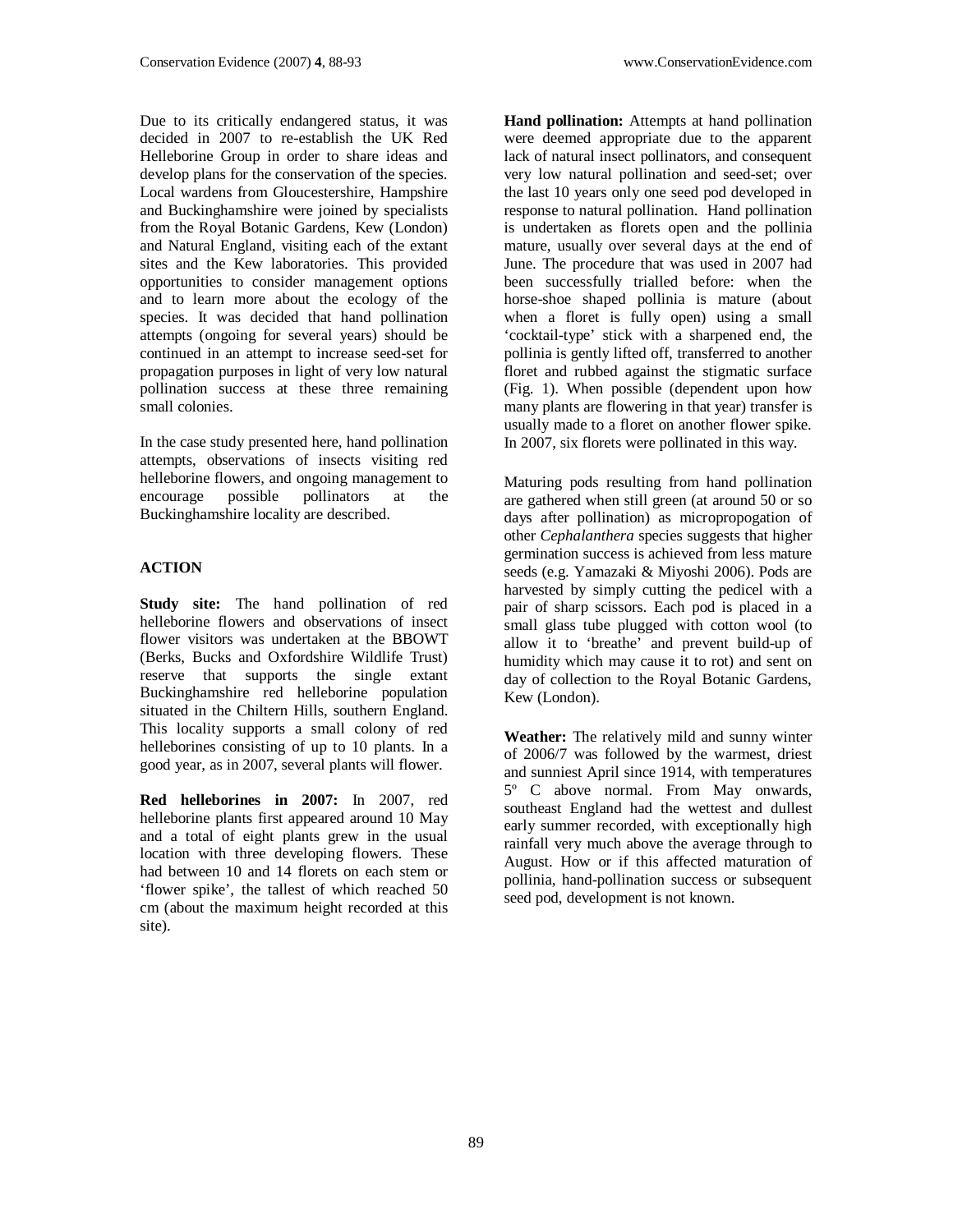Due to its critically endangered status, it was decided in 2007 to re-establish the UK Red Helleborine Group in order to share ideas and develop plans for the conservation of the species. Local wardens from Gloucestershire, Hampshire and Buckinghamshire were joined by specialists from the Royal Botanic Gardens, Kew (London) and Natural England, visiting each of the extant sites and the Kew laboratories. This provided opportunities to consider management options and to learn more about the ecology of the species. It was decided that hand pollination attempts (ongoing for several years) should be continued in an attempt to increase seed-set for propagation purposes in light of very low natural pollination success at these three remaining small colonies.

In the case study presented here, hand pollination attempts, observations of insects visiting red helleborine flowers, and ongoing management to encourage possible pollinators at the Buckinghamshire locality are described.

# **ACTION**

**Study site:** The hand pollination of red helleborine flowers and observations of insect flower visitors was undertaken at the BBOWT (Berks, Bucks and Oxfordshire Wildlife Trust) reserve that supports the single extant Buckinghamshire red helleborine population situated in the Chiltern Hills, southern England. This locality supports a small colony of red helleborines consisting of up to 10 plants. In a good year, as in 2007, several plants will flower.

**Red helleborines in 2007:** In 2007, red helleborine plants first appeared around 10 May and a total of eight plants grew in the usual location with three developing flowers. These had between 10 and 14 florets on each stem or 'flower spike', the tallest of which reached 50 cm (about the maximum height recorded at this site).

**Hand pollination:** Attempts at hand pollination were deemed appropriate due to the apparent lack of natural insect pollinators, and consequent very low natural pollination and seed-set; over the last 10 years only one seed pod developed in response to natural pollination. Hand pollination is undertaken as florets open and the pollinia mature, usually over several days at the end of June. The procedure that was used in 2007 had been successfully trialled before: when the horse-shoe shaped pollinia is mature (about when a floret is fully open) using a small 'cocktail-type' stick with a sharpened end, the pollinia is gently lifted off, transferred to another floret and rubbed against the stigmatic surface (Fig. 1). When possible (dependent upon how many plants are flowering in that year) transfer is usually made to a floret on another flower spike. In 2007, six florets were pollinated in this way.

Maturing pods resulting from hand pollination are gathered when still green (at around 50 or so days after pollination) as micropropogation of other *Cephalanthera* species suggests that higher germination success is achieved from less mature seeds (e.g. Yamazaki & Miyoshi 2006). Pods are harvested by simply cutting the pedicel with a pair of sharp scissors. Each pod is placed in a small glass tube plugged with cotton wool (to allow it to 'breathe' and prevent build-up of humidity which may cause it to rot) and sent on day of collection to the Royal Botanic Gardens, Kew (London).

**Weather:** The relatively mild and sunny winter of 2006/7 was followed by the warmest, driest and sunniest April since 1914, with temperatures 5º C above normal. From May onwards, southeast England had the wettest and dullest early summer recorded, with exceptionally high rainfall very much above the average through to August. How or if this affected maturation of pollinia, hand-pollination success or subsequent seed pod, development is not known.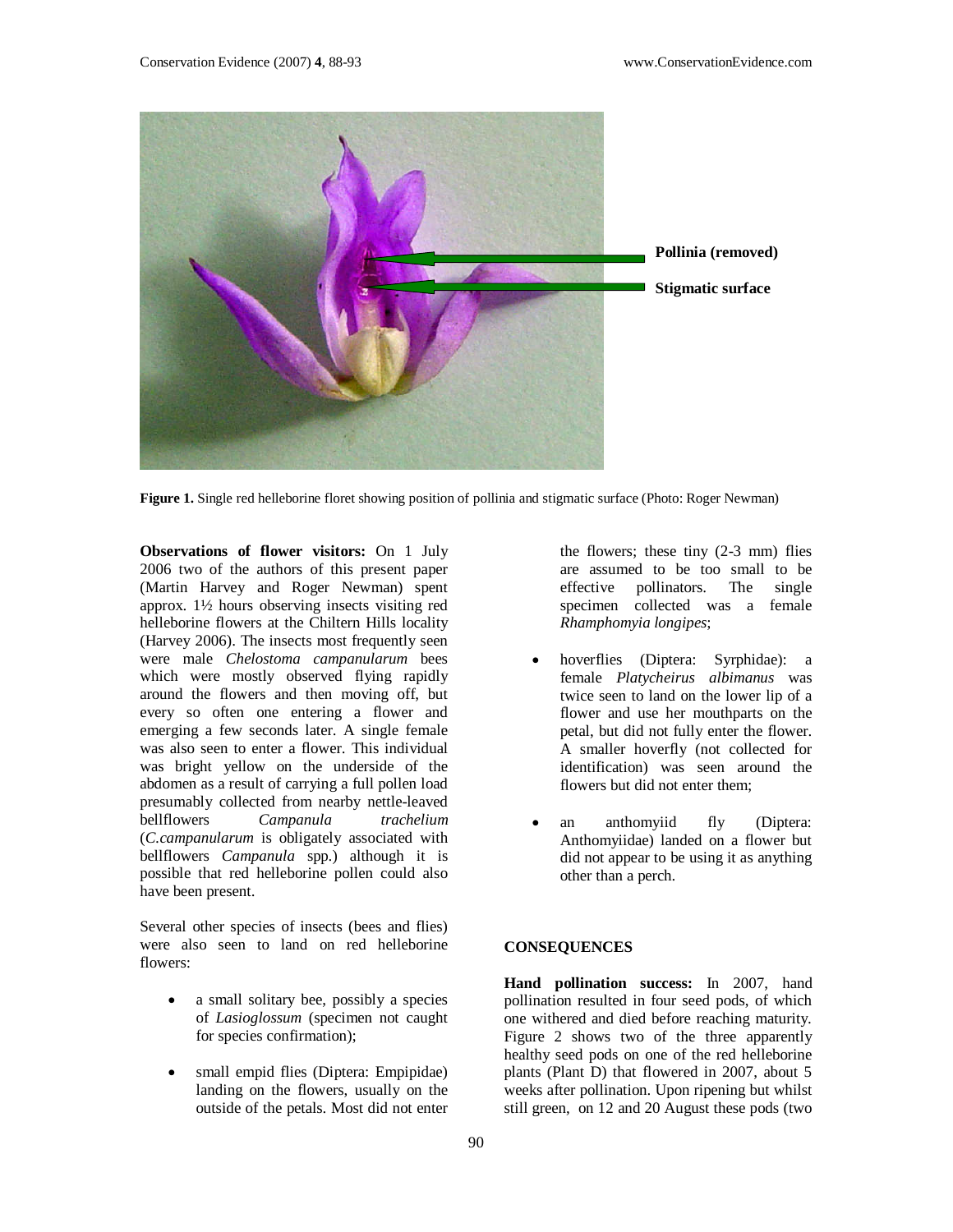

**Figure 1.** Single red helleborine floret showing position of pollinia and stigmatic surface (Photo: Roger Newman)

**Observations of flower visitors:** On 1 July 2006 two of the authors of this present paper (Martin Harvey and Roger Newman) spent approx. 1½ hours observing insects visiting red helleborine flowers at the Chiltern Hills locality (Harvey 2006). The insects most frequently seen were male *Chelostoma campanularum* bees which were mostly observed flying rapidly around the flowers and then moving off, but every so often one entering a flower and emerging a few seconds later. A single female was also seen to enter a flower. This individual was bright yellow on the underside of the abdomen as a result of carrying a full pollen load presumably collected from nearby nettle-leaved bellflowers *Campanula trachelium* (*C.campanularum* is obligately associated with bellflowers *Campanula* spp.) although it is possible that red helleborine pollen could also have been present.

Several other species of insects (bees and flies) were also seen to land on red helleborine flowers:

- a small solitary bee, possibly a species of *Lasioglossum* (specimen not caught for species confirmation);
- small empid flies (Diptera: Empipidae) landing on the flowers, usually on the outside of the petals. Most did not enter

the flowers; these tiny (2-3 mm) flies are assumed to be too small to be effective pollinators. The single specimen collected was a female *Rhamphomyia longipes*;

- hoverflies (Diptera: Syrphidae): a female *Platycheirus albimanus* was twice seen to land on the lower lip of a flower and use her mouthparts on the petal, but did not fully enter the flower. A smaller hoverfly (not collected for identification) was seen around the flowers but did not enter them;
- an anthomyiid fly (Diptera: Anthomyiidae) landed on a flower but did not appear to be using it as anything other than a perch.

### **CONSEQUENCES**

**Hand pollination success:** In 2007, hand pollination resulted in four seed pods, of which one withered and died before reaching maturity. Figure 2 shows two of the three apparently healthy seed pods on one of the red helleborine plants (Plant D) that flowered in 2007, about 5 weeks after pollination. Upon ripening but whilst still green, on 12 and 20 August these pods (two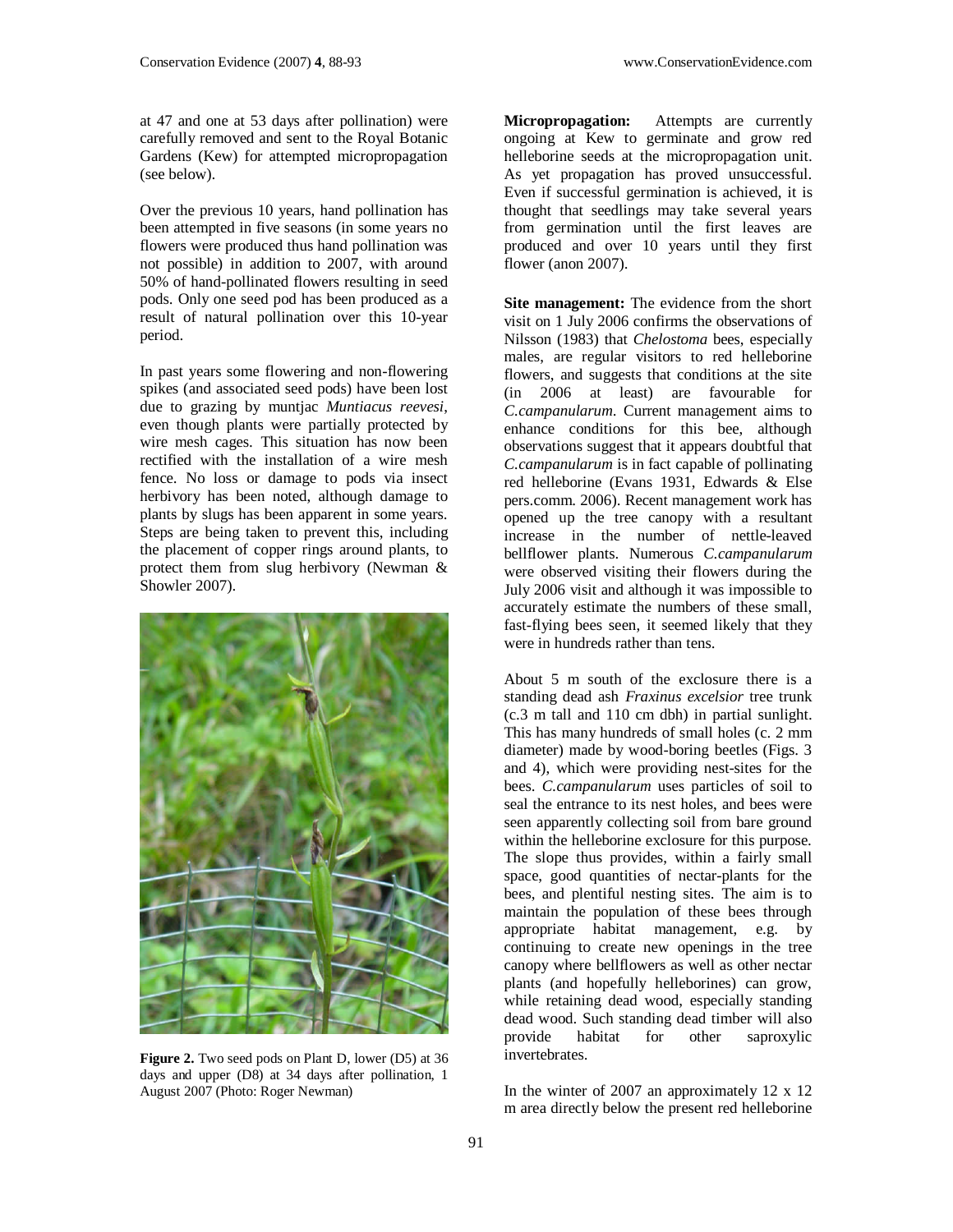at 47 and one at 53 days after pollination) were carefully removed and sent to the Royal Botanic Gardens (Kew) for attempted micropropagation (see below).

Over the previous 10 years, hand pollination has been attempted in five seasons (in some years no flowers were produced thus hand pollination was not possible) in addition to 2007, with around 50% of hand-pollinated flowers resulting in seed pods. Only one seed pod has been produced as a result of natural pollination over this 10-year period.

In past years some flowering and non-flowering spikes (and associated seed pods) have been lost due to grazing by muntjac *Muntiacus reevesi*, even though plants were partially protected by wire mesh cages. This situation has now been rectified with the installation of a wire mesh fence. No loss or damage to pods via insect herbivory has been noted, although damage to plants by slugs has been apparent in some years. Steps are being taken to prevent this, including the placement of copper rings around plants, to protect them from slug herbivory (Newman & Showler 2007).



Figure 2. Two seed pods on Plant D, lower (D5) at 36 days and upper (D8) at 34 days after pollination, 1 August 2007 (Photo: Roger Newman)

**Micropropagation:** Attempts are currently ongoing at Kew to germinate and grow red helleborine seeds at the micropropagation unit. As yet propagation has proved unsuccessful. Even if successful germination is achieved, it is thought that seedlings may take several years from germination until the first leaves are produced and over 10 years until they first flower (anon 2007).

**Site management:** The evidence from the short visit on 1 July 2006 confirms the observations of Nilsson (1983) that *Chelostoma* bees, especially males, are regular visitors to red helleborine flowers, and suggests that conditions at the site (in 2006 at least) are favourable for *C.campanularum*. Current management aims to enhance conditions for this bee, although observations suggest that it appears doubtful that *C.campanularum* is in fact capable of pollinating red helleborine (Evans 1931, Edwards & Else pers.comm. 2006). Recent management work has opened up the tree canopy with a resultant increase in the number of nettle-leaved bellflower plants. Numerous *C.campanularum* were observed visiting their flowers during the July 2006 visit and although it was impossible to accurately estimate the numbers of these small, fast-flying bees seen, it seemed likely that they were in hundreds rather than tens.

About 5 m south of the exclosure there is a standing dead ash *Fraxinus excelsior* tree trunk (c.3 m tall and 110 cm dbh) in partial sunlight. This has many hundreds of small holes (c. 2 mm diameter) made by wood-boring beetles (Figs. 3 and 4), which were providing nest-sites for the bees. *C.campanularum* uses particles of soil to seal the entrance to its nest holes, and bees were seen apparently collecting soil from bare ground within the helleborine exclosure for this purpose. The slope thus provides, within a fairly small space, good quantities of nectar-plants for the bees, and plentiful nesting sites. The aim is to maintain the population of these bees through appropriate habitat management, e.g. by continuing to create new openings in the tree canopy where bellflowers as well as other nectar plants (and hopefully helleborines) can grow, while retaining dead wood, especially standing dead wood. Such standing dead timber will also provide habitat for other saproxylic invertebrates.

In the winter of 2007 an approximately 12 x 12 m area directly below the present red helleborine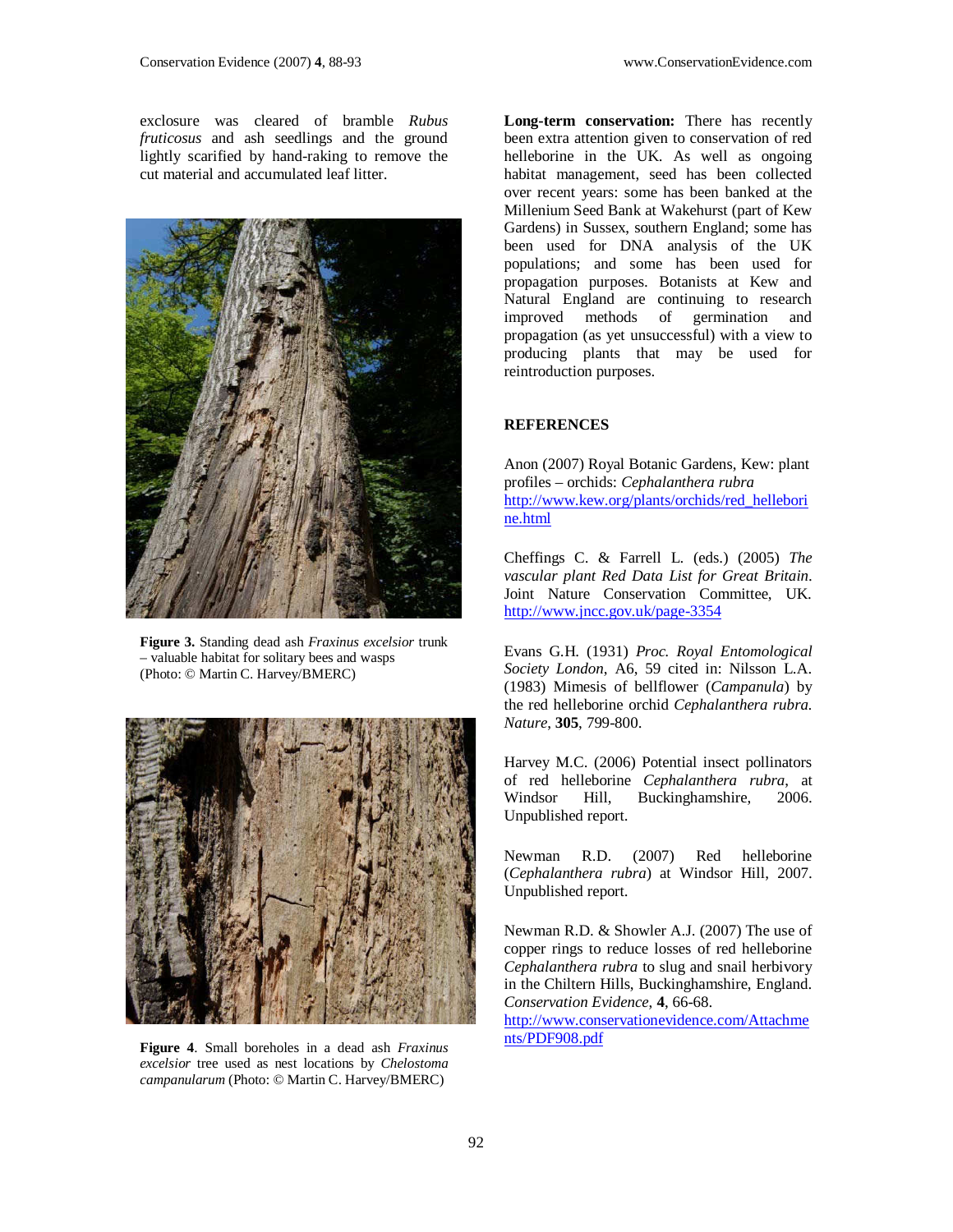exclosure was cleared of bramble *Rubus fruticosus* and ash seedlings and the ground lightly scarified by hand-raking to remove the cut material and accumulated leaf litter.



**Figure 3.** Standing dead ash *Fraxinus excelsior* trunk – valuable habitat for solitary bees and wasps (Photo: © Martin C. Harvey/BMERC)



**Figure 4**. Small boreholes in a dead ash *Fraxinus excelsior* tree used as nest locations by *Chelostoma campanularum* (Photo: © Martin C. Harvey/BMERC)

**Long-term conservation:** There has recently been extra attention given to conservation of red helleborine in the UK. As well as ongoing habitat management, seed has been collected over recent years: some has been banked at the Millenium Seed Bank at Wakehurst (part of Kew Gardens) in Sussex, southern England; some has been used for DNA analysis of the UK populations; and some has been used for propagation purposes. Botanists at Kew and Natural England are continuing to research<br>improved methods of germination and improved methods of propagation (as yet unsuccessful) with a view to producing plants that may be used for reintroduction purposes.

#### **REFERENCES**

Anon (2007) Royal Botanic Gardens, Kew: plant profiles – orchids: *Cephalanthera rubra* http://www.kew.org/plants/orchids/red\_hellebori ne.html

Cheffings C. & Farrell L. (eds.) (2005) *The vascular plant Red Data List for Great Britain*. Joint Nature Conservation Committee, UK. http://www.jncc.gov.uk/page-3354

Evans G.H. (1931) *Proc. Royal Entomological Society London*, A6, 59 cited in: Nilsson L.A. (1983) Mimesis of bellflower (*Campanula*) by the red helleborine orchid *Cephalanthera rubra. Nature*, **305**, 799-800.

Harvey M.C. (2006) Potential insect pollinators of red helleborine *Cephalanthera rubra*, at Windsor Hill, Buckinghamshire, 2006. Unpublished report.

Newman R.D. (2007) Red helleborine (*Cephalanthera rubra*) at Windsor Hill, 2007. Unpublished report.

Newman R.D. & Showler A.J. (2007) The use of copper rings to reduce losses of red helleborine *Cephalanthera rubra* to slug and snail herbivory in the Chiltern Hills, Buckinghamshire, England. *Conservation Evidence*, **4**, 66-68.

http://www.conservationevidence.com/Attachme nts/PDF908.pdf